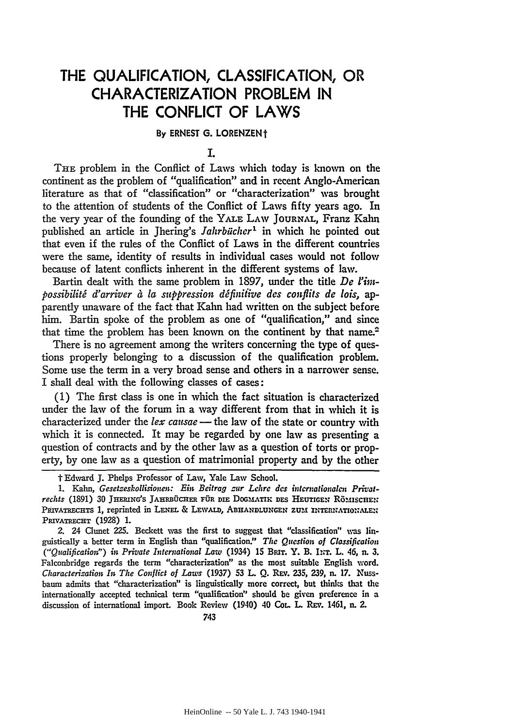## **THE QUALIFICATION, CLASSIFICATION, OR CHARACTERIZATION PROBLEM IN THE CONFLICT OF LAWS**

## By ERNEST G. LORENZENt

I.

THE problem in the Conflict of Laws which today is known on the continent as the problem of "qualification" and in recent Anglo-American literature as that of "classification" or "characterization" was brought to the attention of students of the Conflict of Laws fifty years ago. In the very year of the founding of the YALE LAw JOURNAL, Franz Kahn published an article in Jhering's *Jahrbücher*<sup>1</sup> in which he pointed out that even if the rules of the Conflict of Laws in the different countries were the same, identity of results in individual cases would not follow because of latent conflicts inherent in the different systems of law.

Bartin dealt with the same problem in 1897, under the title *De l'impossibilité d'arriver à la suppression définitive des conflits de lois*, apparently unaware of the fact that Kahn had written on the subject before him. Bartin spoke of the problem as one of "qualification," and since that time the problem has been known on the continent by that name.<sup>2</sup>

There is no agreement among the writers concerning the type of questions properly belonging to a discussion of the qualification problem. Some use the term in a very broad sense and others in a narrower sense. I shall deal with the following classes of cases:

 $(1)$  The first class is one in which the fact situation is characterized under the law of the forum in a way different from that in which it is characterized under the *lex causae* — the law of the state or country with which it is connected. It may be regarded by one law as presenting a question of contracts and by the other law as a question of torts or property, by one law as a question of matrimonial property and by the other

2. 24 Clunet 225. Beckett was the first to suggest that "classification" was linguistically a better term in English than "qualification." *Tile Question of Classification (''Qualification") in Private bllematioual Law* (1934) 15 BRIT. Y. B. hrr. L. 46, n. 3. Falconbridge regards the term "characterization" as the most suitable English word. *Characterization In The Conflict of Laws* (1937) 53 L. Q. REv. 235, 239, n. 17. Nussbaum admits that "characterization" is linguistically more correct, but thinks that the internationally accepted technical term "qualification" should be given preference in a discussion of international import. Book Review (1940) 40 CoL. L. REv. 1461, n. 2.

t Edward J. Phelps Professor of Law, Yale Law School.

<sup>1.</sup> Kahn, *Gesetzeskollisionen: Ein Beitrag zur Lehre des internationalen Privatrechts* (1891) 30 ]HERING's ]AHRBUCHER FUR DIE DooMATIK DES HEUTIGEN RomscnE:: PRIVATRECHTS 1, reprinted in LENEL & LEWALD, ABHANDLUNGEN ZUM INTERNATIONALEN PRIVATRECHT (1928) 1.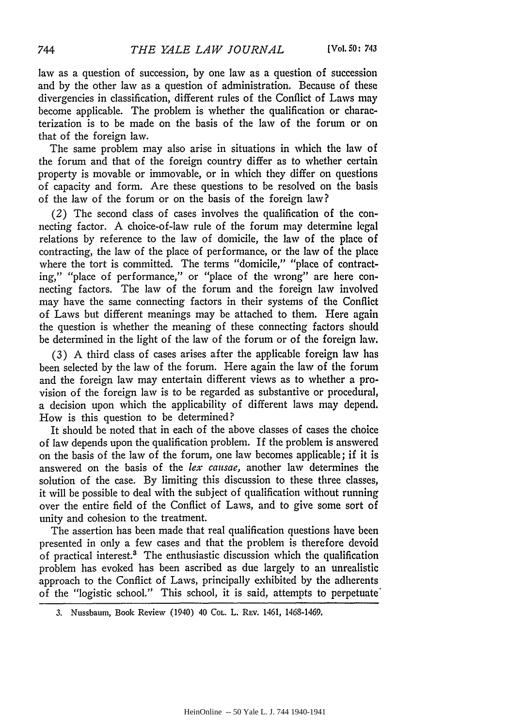law as a question of succession, by one law as a question of succession and by the other law as a question of administration. Because of these divergencies in classification, different rules of the Conflict of Laws may become applicable. The problem is whether the qualification or characterization is to be made on the basis of the law of the forum or on that of the foreign law.

The same problem may also arise in situations in which the law of the forum and that of the foreign country differ as to whether certain property is movable or immovable, or in which they differ on questions of capacity and form. Are these questions to be resolved on the basis of the law of the forum or on the basis of the foreign law?

( 2) The second class of cases involves the qualification of the connecting factor. A choice-of-law rule of the forum may determine legal relations by reference to the law of domicile, the law of the place of contracting, the law of the place of performance, or the law of the place where the tort is committed. The terms "domicile," "place of contracting," "place of performance," or "place of the wrong" are here connecting factors. The law of the forum and the foreign law involved may have the same connecting factors in their systems of the Conflict of Laws but different meanings may be attached to them. Here again the question is whether the meaning of these connecting factors should be determined in the light of the law of the forum or of the foreign law.

( 3) A third class of cases arises after the applicable foreign law has been selected by the law of the forum. Here again the law of the forum and the foreign law may entertain different views as to whether a provision of the foreign law is to be regarded as substantive or procedural, a decision upon which the applicability of different laws may depend. How is this question to be determined?

It should be noted that in each of the above classes of cases the choice of law depends upon the qualification problem. If the problem is answered on the basis of the law of the forum, one law becomes applicable; if it is answered on the basis of the *lex causae,* another law determines the solution of the case. By limiting this discussion to these three classes, it will be possible to deal with the subject of qualification without running over the entire field of the Conflict of Laws, and to give some sort of unity and cohesion to the treatment.

The assertion has been made that real qualification questions have been presented in only a few cases and that the problem is therefore devoid of practical interest.3 The enthusiastic discussion which the qualification problem has evoked has been ascribed as due largely to an unrealistic approach to the Conflict of Laws, principally exhibited by the adherents of the "logistic school." This school, it is said, attempts to perpetuate·

<sup>3.</sup> Nussbaum, Book Review (1940) 40 CoL. L. Rev. 1461, 1468-1469.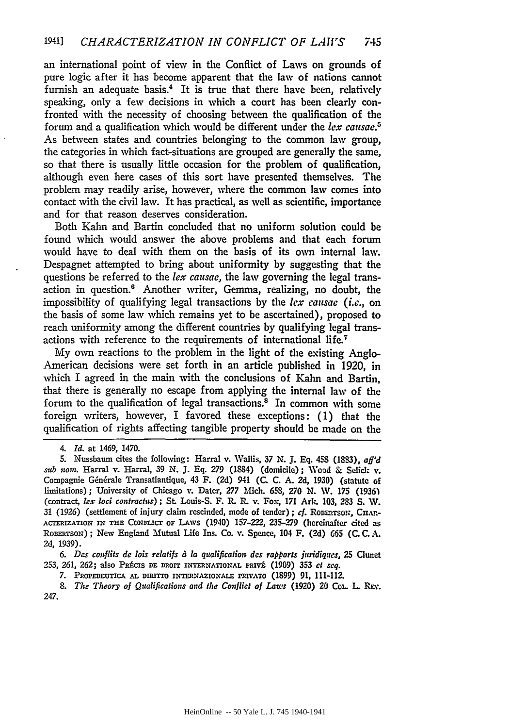an international point of view in the Conflict of Laws on grounds of pure logic after it has become apparent that the law of nations cannot furnish an adequate basis.<sup>4</sup> It is true that there have been, relatively speaking, only a few decisions in which a court has been clearly confronted with the necessity of choosing between the qualification of the forum and a qualification which would be different under the *lex causae*.<sup>5</sup> As between states and countries belonging to the common law group, the categories in which fact-situations are grouped are generally the same, so that there is usually little occasion for the problem of qualification, although even here cases of this sort have presented themselves. The problem may readily arise, however, where the common law comes into contact with the civil law. It has practical, as well as scientific, importance and for that reason deserves consideration.

Both Kahn and Bartin concluded that no uniform solution could be found which would answer the above problems and that each forum would have to deal with them on the basis of its own internal law. Despagnet attempted to bring about uniformity by suggesting that the questions be referred to the *lex causae*, the law governing the legal transaction in question.6 Another writer, Gemma, realizing, no doubt, the impossibility of qualifying legal transactions by the *lex causae* (*i.e.*, on the basis of some law which remains yet to be ascertained), proposed to reach uniformity among the different countries by qualifying legal transactions with reference to the requirements of international life.7

My own reactions to the problem in the light of the existing Anglo-American decisions were set forth in an article published in 1920, in which I agreed in the main with the conclusions of Kahn and Bartin, that there is generally no escape from applying the internal law of the forum to the qualification of legal transactions.<sup>8</sup> In common with some foreign writers, however, I favored these exceptions:  $(1)$  that the qualification of rights affecting tangible property should be made on the

6. *Des conflits de lois relatifs* d *Ia* qualijicatio1~ *des rapports juridiqucs,* 25 Ounet 253, 261, 262; also PREciS DE DROIT INTERNATIONAL PRlVE (1909) 353 *ct seq.* 

*7.* PROPEDEUTICA AL DIRITTO INTERNAZIONALE PRIVATO (1899) 91, 1ll-ll2.

8. *The Theory of Qualifications and the Conflict of Laws* (1920) 20 CoL. L. Rev. 247.

<sup>4.</sup> *Id.* at 1469, 1470.

<sup>5.</sup> Nussbaum cites the following: Harral v. Wallis, 37 N.J. Eq. 458 (1SS3), *afi'd sub nom.* Harral v. Harral, 39 N. J. Eq. 279 (1884) (domicile); Wood & Sclicl: v. Compagnie Générale Transatlantique, 43 F. (2d) 941 (C. C. A. 2d, 1930) (statute of limitations); University of Chicago v. Dater, 277 Mich. 658, 270 N. W. 175 (1936) (contract, *lex loci contractus);* St Louis-S. F. R. R. v. Fox, 171 Ark. 103, 283 S. \V. 31 (1926) (settlement of injury claim rescinded, mode of tender); *cf.* Ronerrson, CHAR-ACTERIZATION IN THE CoNFLicr OF LAws (1940) 157-222, 235-279 (hereinafter cited as ROBERTSON); New England Mutual Life Ins. Co. v. Spence, 104 F. (2d) 665 (C. C. A. 2d, 1939).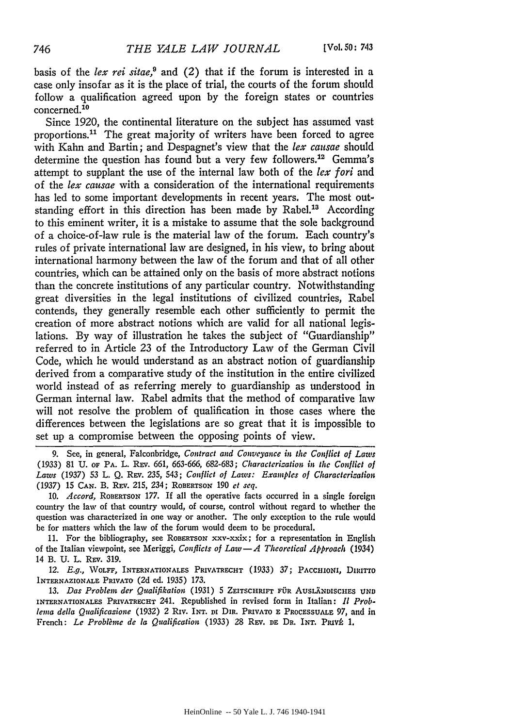basis of the *lex rei sitae*,<sup>9</sup> and (2) that if the forum is interested in a case only insofar as it is the place of trial, the courts of the forum should follow a qualification agreed upon by the foreign states or countries concerned.10

Since 1920, the continental literature on the subject has assumed vast proportions.11 The great majority of writers have been forced to agree with Kahn and Bartin; and Despagnet's view that the *lex causae* should determine the question has found but a very few followers.<sup>12</sup> Gemma's attempt to supplant the use of the internal law both of the *lex fori* and of the *lex causae* with a consideration of the international requirements has led to some important developments in recent years. The most outstanding effort in this direction has been made by Rabel.<sup>13</sup> According to this eminent writer, it is a mistake to assume that the sole background of a choice-of-law rule is the material law of the forum. Each country's rules of private international law are designed, in his view, to bring about international harmony between the law of the forum and that of all other countries, which can be attained only on the basis of more abstract notions than the concrete institutions of any particular country. Notwithstanding great diversities in the legal institutions of civilized countries, Rabel contends, they generally resemble each other sufficiently to permit the creation of more abstract notions which are valid for all national legislations. By way of illustration he takes the subject of "Guardianship" referred to in Article 23 of the Introductory Law of the German Civil Code, which he would understand as an abstract notion of guardianship derived from a comparative study of the institution in the entire civilized world instead of as referring merely to guardianship as understood in German internal law. Rabel admits that the method of comparative law will not resolve the problem of qualification in those cases where the differences between the legislations are so great that it is impossible to set up a compromise between the opposing points of view.

10. *Accord,* RoBERTSON 177. If all the operative facts occurred in a single foreign country the law of that country would, of course, control without regard to whether the question was characterized in one way or another. The only exception to the rule would be for matters which the law of the forum would deem to be procedural.

11. For the bibliography, see ROBERTSON xxv-xxix; for a representation in English of the Italian viewpoint, see Meriggi, *Co11jlicts of Law-A Theoretical Approach* (1934) 14 B. U. L. *REV.* 319.

12. E.g., WOLFF, INTERNATIONALES PRIVATRECHT (1933) 37; PACCHIONI, DIRITTO INTERNAZIONALE PRIVATO (2d ed. 1935) 173.

13. Das Problem der Qualifikation (1931) 5 ZEITSCHRIFT FÜR AUSLÄNDISCHES UND INTERNATIONALES PruvATRECHT 241. Republished in revised form in Italian: II *Problema della Q!1a/ijicazio11e* (1932) 2 Rrv. INT. DI DIR. PRIVATO E PROCESSUALE *97,* and in French: *Le Problème de la Qualification* (1933) 28 REV. DE DR. INT. PRIVÉ 1.

<sup>9.</sup> See, in general, Falconbridge, *Contract a11d Conveyauce* in *the Conflict of Laws*  (1933) 81 U. OF PA. L. *REV.* 661, 663-666, 682-683; *Characteri:;ation* in *tile Conflict of Laws* (1937) 53 L. Q. *REV.* 235, 543; *Conflict of Laws: Examples of Charactcriaaliotl*  (1937) 15 CAN. B. REv. 215, 234; RoBERTSON 190 *et seq.*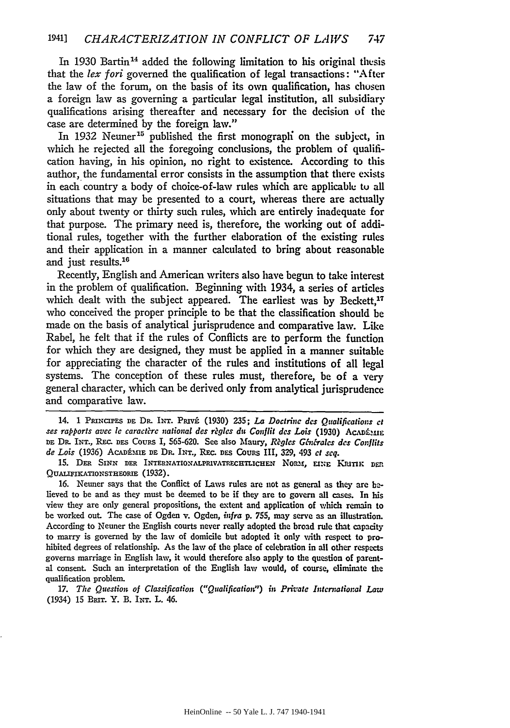In 1930 Bartin<sup>14</sup> added the following limitation to his original thesis that the *lex fori* governed the qualification of legal transactions: "After the law of the forum, on the basis of its own qualification, has chosen a foreign law as governing a particular legal institution, all subsidiary qualifications arising thereafter and necessary for the decision of the case are determined by the foreign law."

In 1932 Neuner<sup>15</sup> published the first monograph on the subject, in which he rejected all the foregoing conclusions, the problem of qualification having, in his opinion, no right to existence. According to this author, the fundamental error consists in the assumption that there exists in each. country a body of choice-of-law rules which are applicable tu all situations that may be presented to a court, whereas there are actually only about twenty or thirty such rules, which are entirely inadequate for that purpose. The primary need is, therefore, the working out of additional rules, together with the further elaboration of the existing rules and their application in a manner calculated to bring about reasonable and just results.16

Recently, English and American writers also have begun to take interest in the problem of qualification. Beginning with 1934, a series of articles which dealt with the subject appeared. The earliest was by Beckett, $17$ who conceived the proper principle to be that the classification should be made on the basis of analytical jurisprudence and comparative law. Like Rabel, he felt that if the rules of Conflicts are to perform the function for which they are designed, they must be applied in a manner suitable for appreciating the character of the rules and institutions of all legal systems. The conception of these rules must, therefore, be of a very general character, which can be derived only from analytical jurisprudence and comparative law.

14. 1 PRINCIPES DE DR. INT. PRIVÉ (1930) 235; La Doctrine des Qualifications et ses rapports avec le caractère national des règles du Conflit des Lois (1930) AcADÉME DE DR. INT., REC. DES COURS I, 565-620. See also Maury, *Règles Générales des Conflits de Lois* (1936) ACADEMlE DE DR- INT., REc. DES CooRS III, 329, 493 *et seq.* 

15. DER SINN DER INTERNATIONALPRIVATRECHTLICHEN NORM, EINE KRITIK DER QUALIFIKATIONSTHEORIE ( 1932).

16. Neuner says that the Conflict of Laws rules are not as general as they are believed to be and as they must be deemed to be if they are to govern all cases. In his view they are only general propositions, the extent and application of which remain to be worked out. The case of Ogden v. Ogden, *iufra* p. 755, may serve as an illustration. According to Neuner the English courts never really adopted the broad rule that capacity to marry is governed by the law of domicile but adopted it only with respect to prohibited degrees of relationship. As the law of the place of celebration in all other respects governs marriage in English law, it would therefore also apply to the question of parental consent. Such an interpretation of the English law would, of course, eliminate the qualification problem.

17. *Tlze Question of Classification ("Qualification'')* in *Private Iutcrnatioual Law*  (1934) 15 BRIT. Y. B. INT. L. 46.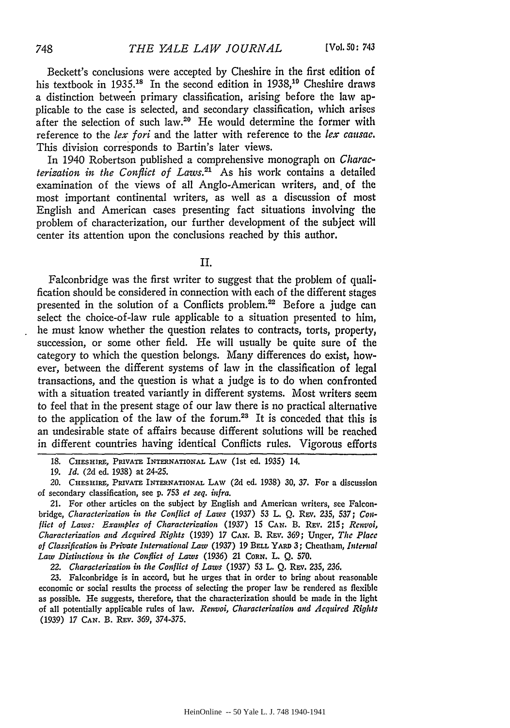Beckett's conclusions were accepted by Cheshire in the first edition of his textbook in 1935.<sup>18</sup> In the second edition in 1938<sup>10</sup> Cheshire draws a distinction between primary classification, arising before the law ap· plicable to the case is selected, and secondary classification, which arises after the selection of such law.<sup>20</sup> He would determine the former with reference to the *lex fori* and the latter with reference to the *lex causae*. This division corresponds to Bartin's later views.

In 1940 Robertson published a comprehensive monograph on *Characterization in the Conflict of Laws.21* As his work contains a detailed examination of the views of all Anglo-American writers, and. of the most important continental writers, as well as a discussion of most English and American cases presenting fact situations involving the problem of characterization, our further development of the subject will center its attention upon the conclusions reached by this author.

II.

Falconbridge was the first writer to suggest that the problem of qualification should be considered in connection with each of the different stages presented in the solution of a Conflicts problem.<sup>22</sup> Before a judge can select the choice-of-law rule applicable to a situation presented to him, he must know whether the question relates to contracts, *torts,* property, succession, or some other field. He will usually be quite sure of the category to which the question belongs. Many differences do exist, however, between the different systems of law in the classification of legal transactions, and the question is what a judge is to do when confronted with a situation treated variantly in different systems. Most writers seem to feel that in the present stage of our law there is no practical alternative to the application of the law of the forum.<sup>23</sup> It is conceded that this is an undesirable state of affairs because different solutions will be reached in different countries having identical Conflicts rules. Vigorous efforts

18. CHESHIRE, PRIVATE INTERNATIONAL LAW (1st ed. 1935) 14.

21. For other articles on the subject by English and American writers, sec Falcon· bridge, *Characterization in the Conflict of Laws* (1937) 53 L. Q. REV. 235, 537; *Conflict of Laws: Examples of Characterization* (1937) IS CAN. B. REv. 215; *Renvoi,*  Characterizati01~ *and Acq11ired Rights* (1939) 17 CAN. B. REv. 369; Unger, *The Place of* Classijicati01~ i1~ *Private I11temational Law* (1937) 19 BELLY ARD 3; Cheatham, *lntcrtlal*  Law Distinctions in the Conflict of Laws (1936) 21 CoRN. L. Q. 570.

22. Characterization in the Conflict of Laws (1937) 53 L. Q. REV. 235, 236.

23. Falconbridge is in accord, but he urges that in order to bring about reasonable economic or social results the process of selecting the proper law be rendered as flexible as possible. He suggests, therefore, that the characterization should be made in the light of all potentially applicable rules of law. *Re11voi, Characterization and Acquired Rig!lls*  (1939) 17 CAN. B. REv. 369, 374-375.

<sup>19.</sup> *Id.* (2d ed. 1938) at 24-25.

<sup>20.</sup> CHESHIRE, PRIVATE INTERNATIONAL LAw (2d ed. 1938) 30, 37. For a discussion of secondary classification, see p. 753 *et seq. infra.*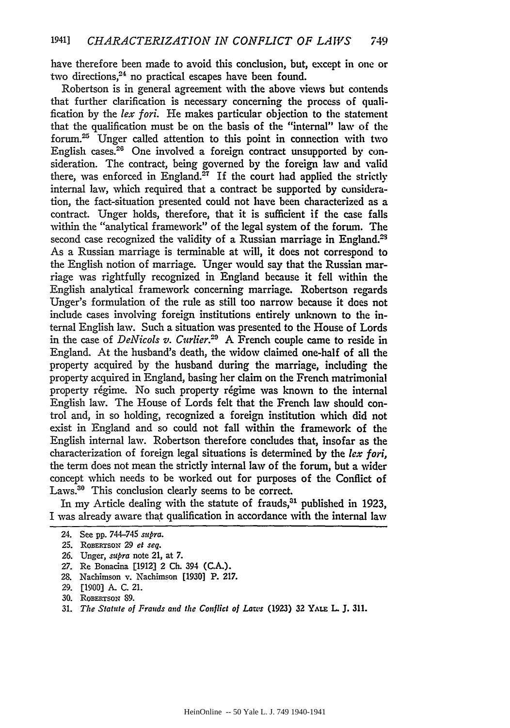have therefore been made to avoid this conclusion, but, except in one or two directions,<sup>24</sup> no practical escapes have been found.

Robertson is in general agreement with the above views but contends that further clarification is necessary concerning the process of qualification by the *lex fori.* He makes particular objection to the statement that the qualification must be on the basis of the "internal" law of the forum.<sup>25</sup> Unger called attention to this point in connection with two English cases.<sup>26</sup> One involved a foreign contract unsupported by consideration. The contract, being governed by the foreign law and valid there, was enforced in England.<sup>27</sup> If the court had applied the strictly internal law, which required that a contract be supported by consideration, the fact-situation presented could not have been characterized as a contract. Unger holds, therefore, that it is sufficient if the case falls within the "analytical framework" of the legal system of the forum. The second case recognized the validity of a Russian marriage in England.<sup>23</sup> As a Russian marriage is terminable at will, it does not correspond to the English notion of marriage. Unger would say that the Russian marriage was rightfully recognized in England because it fell within the English analytical framework concerning marriage. Robertson regards Unger's formulation of the rule as still too narrow because it does not include cases involving foreign institutions entirely unknown to the internal English law. Such a situation was presented to the House of Lords in the case of *DeNicols v. Curlier*.<sup>29</sup> A French couple came to reside in England. At the husband's death, the widow claimed one-half of all the property acquired by the husband during the marriage, including the property acquired in England, basing her claim on the French matrimonial property régime. No such property régime was known to the internal English law. The House of Lords felt that the French law should control and, in so holding, recognized a foreign institution whlch did not exist in England and so could not fall within the framework of the English internal law. Robertson therefore concludes that, insofar as the characterization of foreign legal situations is determined by the *lex fori*, the term does not mean the strictly internal law of the forum, but a wider concept which needs to be worked out for purposes of the Conflict of Laws.<sup>30</sup> This conclusion clearly seems to be correct.

In my Article dealing with the statute of frauds, $31$  published in 1923, I was already aware that qualification in accordance with the internal law

- 25. RoBERTSON *29 et seq.*
- 26. Unger, *supra* note 21, at 7.
- 27. Re Bonacina [1912] 2 Ch. 394 (C.A.).
- 28. Nachimson v. Nachimson [1930] P. 217.
- 29. [1900] A. c. 21.
- 30. RoBERTSON 89.
- 31. The Statute of Frauds and the Conflict of Laws (1923) 32 YALE L. J. 311.

<sup>24.</sup> See pp. 744-745 *supra.*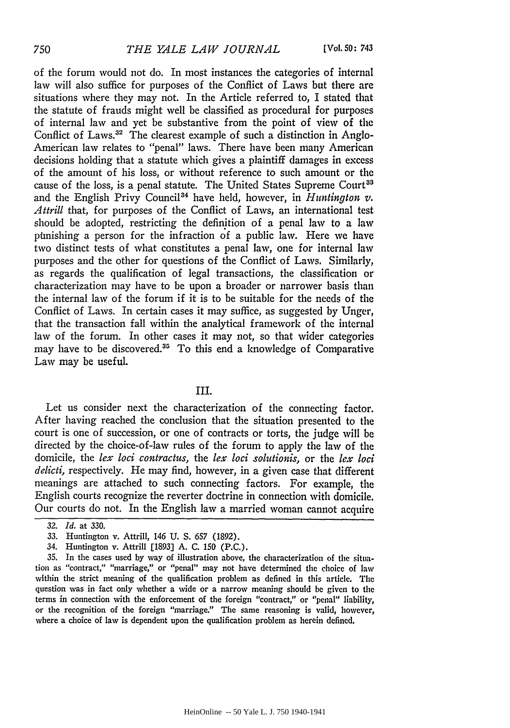of the forum would not do. In most instances the categories of internal law will also suffice for purposes of the Conflict of Laws but there are situations where they may not. In the Article referred to, I stated that the statute of frauds might well be classified as procedural for purposes of internal law and yet be substantive from the point of view of the Conflict of Laws.<sup>32</sup> The clearest example of such a distinction in Anglo-American law relates to "penal" laws. There have been many American decisions holding that a statute which gives a plaintiff damages in excess of the amount of his loss, or without reference to such amount or the cause of the loss, is a penal statute. The United States Supreme Court<sup>88</sup> and the English Privy Council<sup>34</sup> have held, however, in *Huntington v. Attrill* that, for purposes of the Conflict of Laws, an international test should be adopted, restricting the definition of a penal law to a law pimishing a person for the infraction of a public law. Here we have two distinct tests of what constitutes a penal law, one for internal law purposes and the other for questions of the Conflict of Laws. Similarly, as regards the qualification of legal transactions, the classification or characterization may have to be upon a broader or narrower basis than the internal law of the forum if it is to be suitable for the needs of the Conflict of Laws. In certain cases it may suffice, as suggested by Unger, that the transaction fall within the analytical framework of the internal law of the forum. In other cases it may not, so that wider categories may have to be discovered. $35$  To this end a knowledge of Comparative Law may be useful.

## III.

Let us consider next the characterization of the connecting factor. After having reached the conclusion that the situation presented to the court is one of succession, or one of contracts or torts, the judge will be directed by the choice-of-law rules of the forum to apply the law of the domicile, the *lex loci contractus,* the *lex loci solutionis,* or the *le.1: loci delicti,* respectively. He may find, however, in a given case that different meanings are attached to such connecting factors. For example, the English courts recognize the reverter doctrine in connection with domicile. Our courts do not. In the English law a married woman cannot acquire

35. In the cases used by way of illustration above, the characterization of the situation as "contract," "marriage," or "penal" may not have determined the choice of law within the strict meaning of the qualification problem as defined in this article. The question was in fact only whether a wide or a narrow meaning should be given to the terms in connection with the enforcement of the foreign "contract," or "penal" liability, or the recognition of the foreign "marriage." The same reasoning is valid, however, where a choice of law is dependent upon the qualification problem as herein defined.

<sup>32.</sup> *Id.* at 330.

<sup>33.</sup> Huntington v. Attrill, 146 U. S. 657 (1892).

<sup>34.</sup> Huntington v. Attrill [1893] A. C. 150 (P.C.).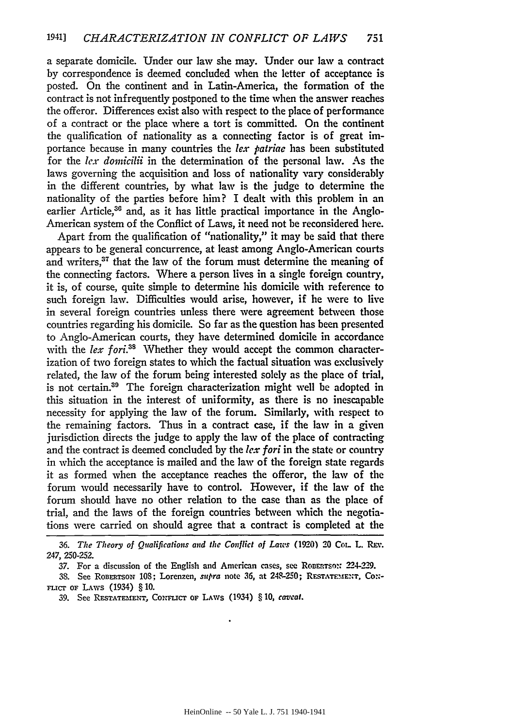a separate domicile. Under our law she may. Under our law a contract by correspondence is deemed concluded when the letter of acceptance is posted. On the continent and in Latin-America, the formation of the contract is not infrequently postponed to the time when the answer reaches the offeror. Differences exist also with respect to the place of performance of a contract or the place where a tort is committed. On the continent the qualification of nationality as a connecting factor is of great importance because in many countries the *lex patriae* has been substituted for the *lex domicilii* in the determination of the personal law. As the laws governing the acquisition and loss of nationality vary considerably in the different countries, by what law is the judge to determine the nationality of the parties before him? I dealt with this problem in an earlier Article,<sup>36</sup> and, as it has little practical importance in the Anglo-American system of the Conflict of Laws, it need not be reconsidered here.

Apart from the qualification of "nationality," it may be said that there appears to be general concurrence, at least among Anglo-American courts and writers,<sup>37</sup> that the law of the forum must determine the meaning of the connecting factors. Where a person lives in a single foreign country, it is, of course, quite simple to determine his domicile with reference to such foreign law. Difficulties would arise, however, if he were to live in several foreign countries unless there were agreement between those countries regarding his domicile. So far as the question has been presented to Anglo-American courts, they have determined domicile in accordance with the *lex fori*.<sup>38</sup> Whether they would accept the common characterization of two foreign states to which the factual situation was exclusively related, the law of the forum being interested solely as the place of trial, is not certain.<sup>39</sup> The foreign characterization might well be adopted in this situation in the interest of uniformity, as there is no inescapable necessity for applying the law of the forum. Similarly, with respect to the remaining factors. Thus in a contract case, if the law in a given jurisdiction directs the judge to apply the law of the place of contracting and the contract is deemed concluded by the *lex fori* in the state or country in which the acceptance is mailed and the law of the foreign state regards it as formed when the acceptance reaches the offeror, the law of the forum would necessarily have to control. However, if the law of the forum should have no other relation to the case than as the place of trial, and the laws of the foreign countries between which the negotiations were carried on should agree that a contract is completed at the

<sup>36.</sup> *Tlze Theory of Q11alijicatious aud the Couflict of La·ws* (1920) 20 *Cm-* L. lw:. *247,* 250-252.

<sup>37.</sup> For a discussion of the English and American cases, see Romerson: 224-239.

<sup>38.</sup> See ROBERTSON 108; Lorenzen, supra note 36, at 248-250; RESTATEMENT, Con-FLicr OF LAws (1934) § 10.

<sup>39.</sup> See RESTATEMENT, CONFLICT OF LAWS (1934) § 10, *caveat*.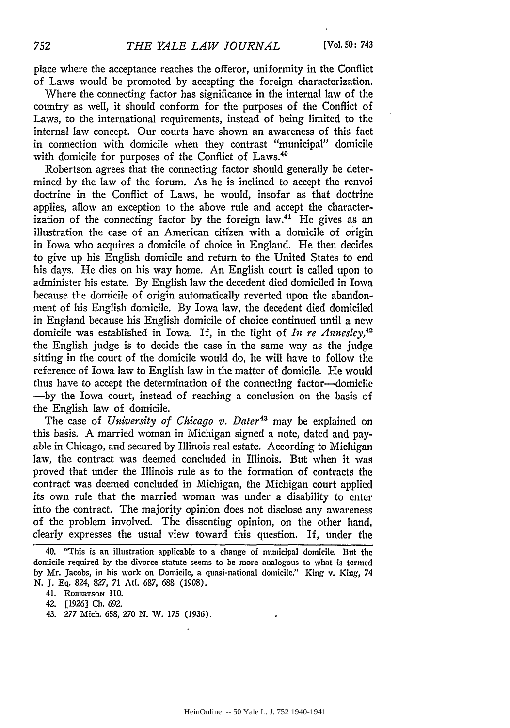place where the acceptance reaches the offeror, uniformity in the Conflict of Laws would be promoted by accepting the foreign characterization.

Where the connecting factor has significance in the internal law of the country as well, it should conform for the purposes of the Conflict of Laws, to the international requirements, instead of being limited to the internal law concept. Our courts have shown an awareness of this fact in connection with domicile when they contrast "municipal" domicile with domicile for purposes of the Conflict of Laws.<sup>40</sup>

Robertson agrees that the connecting factor should generally be determined by the law of the forum. As he is inclined to accept the renvoi doctrine in the Conflict of Laws, he would, insofar as that doctrine applies, allow an exception to the above rule and accept the characterization of the connecting factor by the foreign law.<sup>41</sup> He gives as an illustration the case of an American citizen with a domicile of origin in Iowa who acquires a domicile of choice in England. He then decides to give up his English domicile and return *to* the United States to end his days. He dies on his way home. An English court is called upon to administer his estate. By English law the decedent died domiciled in Iowa because the domicile of origin automatically reverted upon the abandonment of his English domicile. By Iowa law, the decedent died domiciled in England because his English domicile of choice continued until a new domicile was established in Iowa. If, in the light of *In re Annesley,42*  the English judge is to decide the case in the same way as the judge sitting in the court of the domicile would do, he will have to follow the reference of Iowa law to English law in the matter of domicile. He would thus have to accept the determination of the connecting factor-domicile -by the Iowa court, instead of reaching a conclusion on the basis of the English law of domicile.

The case of *University of Chicago v. Dater43* may he explained on this basis. A married woman in Michigan signed a note, dated and payable in Chicago, and secured by Illinois real estate. According to Michigan law, the contract was deemed concluded in Illinois. But when it was proved that under the Illinois rule as to the formation of contracts the contract was deemed concluded in Michigan, the Michigan court applied its own rule that the married woman was under a disability to enter into the contract. The majority opinion does not disclose any awareness of the problem involved. The dissenting opinion, on the other hand, clearly expresses the usual view toward this question. If, under the

43. 277 Mich. 658, 270 N. W. 175 (1936).

<sup>40. &</sup>quot;This is an illustration applicable to a change of municipal domicile. But the domicile required by the divorce statute seems to be more analogous to what is termed by Mr. Jacobs, in his work on Domicile, a quasi-national domicile." King v. King, 74 N. J. Eq. 824, 827, 71 Atl. 687, 688 (1908).

<sup>41.</sup> RoBERTSON 110.

<sup>42. [1926]</sup> Ch. 692.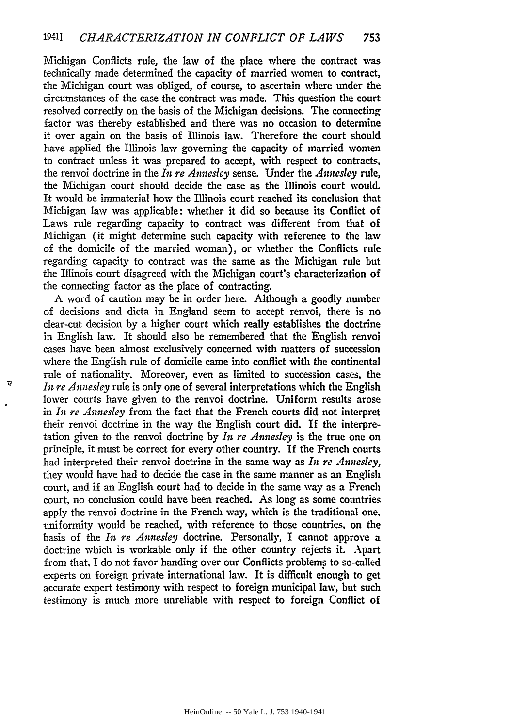Michigan Conflicts rule, the law of the place where the contract was technically made determined the capacity of married women to contract, the Michigan court was obliged, of course, to ascertain where under the circumstances of the case the contract was made. This question the court resolved correctly on the basis of the Michigan decisions. The connecting factor was thereby established and there was no occasion to determine it over again on the basis of Illinois law. Therefore the court should have applied the Illinois law governing the capacity of married women to contract unless it was prepared to accept, with respect to contracts, the renvoi doctrine in the *In re Annesley* sense. Under the *Annesley* rule, the Michigan court should decide the case as the Illinois court would. It would be immaterial how the Illinois court reached its conclusion that Michigan law was applicable: whether it did so because its Conflict of Laws rule regarding capacity to contract was different from that of Michigan (it might determine such capacity with reference to the law of the domicile of the married woman), or whether the Conflicts rule regarding capacity to contract was the same as the Michigan rule but the Illinois court disagreed with the Michigan court's characterization of the connecting factor as the place of contracting.

A word of caution may be in order here. Although a goodly number of decisions and dicta in England seem to accept renvoi, there is no clear-cut decision by a higher court which really establishes the doctrine in English law. It should also be remembered that the English renvoi cases have been almost exclusively concerned with matters of succession where the English rule of domicile came into conflict with the continental rule of nationality. Moreover, even as limited to succession cases, the *In re Annesley* rule is only one of several interpretations which the English lower courts have given to the renvoi doctrine. Uniform results arose in *In re Annesley* from the fact that the French courts did not interpret their renvoi doctrine in the way the English court did. If the interpretation given to the renvoi doctrine by *In re Amzesley* is the true one on principle, it must be correct for every other country. If the French courts had interpreted their renvoi doctrine in the same way as *In re Annesley*, they would have had to decide the case in the same manner as an English court, and if an English court had to decide in the same way as a French court, no conclusion could have been reached. As long as some countries apply the renvoi doctrine in the French way, which is the traditional one, uniformity would be reached, with reference to those countries, on the basis of the *In re Amzesley* doctrine. Personally, I cannot approve a doctrine which is workable only if the other country rejects it. .Apart from that, I do not favor handing over our Conflicts problems to so-called experts on foreign private international law. It is difficult enough to get accurate expert testimony with respect to foreign municipal law, but such testimony is much more unreliable with respect to foreign Conflict of

Ð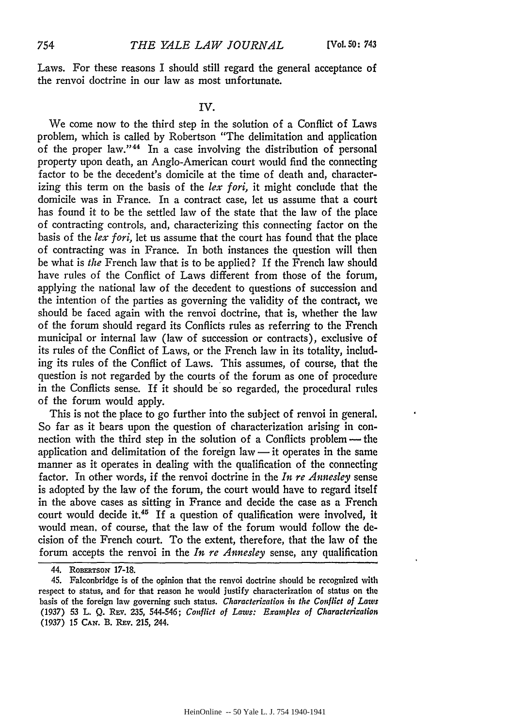Laws. For these reasons I should still regard the general acceptance of the renvoi doctrine in our law as most unfortunate.

IV.

We come now to the third step in the solution of a Conflict of Laws problem, which is called by Robertson "The delimitation and application of the proper law." $44$  In a case involving the distribution of personal property upon death, an Anglo-American court would find the connecting factor to be the decedent's domicile at the time of death and, characterizing this term on the basis of the *lex fori*, it might conclude that the domicile was in France. In a contract case, let us assume that a court has found it to be the settled law of the state that the law of the place of contracting controls, and, characterizing this connecting factor on the basis of the *lex fori,* let us assume that the court has found that the place of contracting was in France. In both instances the question will then be what is *the* French law that is to be applied? If the French law should have rules of the Conflict of Laws different from those of the forum, applying the national law of the decedent to questions of succession and the intention of the parties as governing the validity of the contract, we should be faced again with the renvoi doctrine, that is, whether the law of the forum should regard its Conflicts rules as referring to the French municipal or internal law (law of succession or contracts), exclusive of its rules of the Conflict of Laws, or the French law in its totality, including its rules of the Conflict of Laws. This assumes, of course, that the question is not regarded by the courts of the forum as one of procedure in the Conflicts sense. If it should be so regarded, the procedural rules of the forum would apply.

This is not the place to go further into the subject of renvoi in general. So far as it bears upon the question of characterization arising in connection with the third step in the solution of a Conflicts problem - the application and delimitation of the foreign law  $-$  it operates in the same manner as it operates in dealing with the qualification of the connecting factor. In other words, if the renvoi doctrine in the *In re Annesley* sense is adopted by the law of the forum, the court would have to regard itself in the above cases as sitting in France and decide the case as a French court would decide it.<sup>45</sup> If a question of qualification were involved, it would mean, of course, that the law of the forum would follow the decision of the French court. To the extent, therefore, that the law of the forum accepts the renvoi in the *In re Attnesley* sense, any qualification

<sup>44.</sup> ROBERTSON 17-18.

<sup>45.</sup> Falconbridge is of the opinion that the renvoi doctrine should be recognized with respect to status, and for that reason he would justify characterization of status on the basis of the foreign law governing such status. *Characterization in the Conflict of Laws*  (1937) *53* L. Q. REv. 235, 544-546; *Conflict of Laws: Examples of Characterization*  (1937) 15 CAN. B. REv. 215, 244.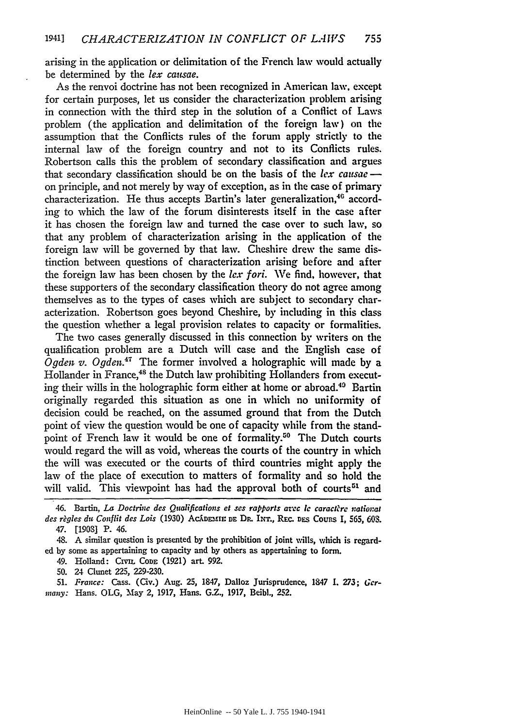arising in the application or delimitation of the French law would actually be determined by the *lex causae.* 

As the renvoi doctrine has not been recognized in American law. except for certain purposes, let us consider the characterization problem arising in connection with the third step in the solution of a Conflict of Laws problem (the application and delimitation of the foreign law) on the assumption that the Conflicts rules of the forum apply strictly to the internal law of the foreign country and not to its Conflicts rules. Robertson calls this the problem of secondary classification and argues that secondary classification should be on the basis of the *lex causue* on principle, and not merely by way of exception, as in the case of primary characterization. He thus accepts Bartin's later generalization,<sup>46</sup> according to which the law of the forum disinterests itself in the case after it has chosen the foreign law and turned the case over to such law, so that any problem of characterization arising in the application of the foreign law will be governed by that law. Cheshire drew the same distinction between questions of characterization arising before and after the foreign law has been chosen by the *lex fori.* 'Ve find, however, that these supporters of the secondary classification theory do not agree among themselves as to the types of cases which are subject to secondary characterization. Robertson goes beyond Cheshire, by including in this class the question whether a legal provision relates to capacity or formalities.

The two cases generally discussed in this connection by writers on the qualification problem are a Dutch will case and the English case of  $Oqden$  v.  $Oqden<sup>47</sup>$  The former involved a holographic will made by a Hollander in France,<sup>48</sup> the Dutch law prohibiting Hollanders from executing their wills in the holographic form either at home or abroad.<sup>40</sup> Bartin originally regarded this situation as one in which no uniformity of decision could be reached, on the assumed ground that from the Dutch point of view the question would be one of capacity while from the standpoint of French law it would be one of formality.<sup>50</sup> The Dutch courts would regard the will as void, whereas the courts of the country in which the will was executed or the courts of third countries might apply the law of the place of execution to matters of formality and so hold the will valid. This viewpoint has had the approval both of courts<sup> $51$ </sup> and

- 49. Holland: CIVIL CoDE (1921) art. 992.
- 50. 24 Clunet 225, 229-230.

51. *Frauce:* Cass. (Civ.) Aug. 25, 1847, Dalloz Jurisprudence, 1847 I. 273; *Germany:* Hans. OLG, May 2, 1917, Hans. G.Z., 1917, Bcibl., 252.

<sup>46.</sup> Bartin, La Doctrine des Qualifications et ses rapports avec le caractère national *des règles du Conflit des Lois* (1930) ACÁDEMIE DE DR. INT., REC. DES COURS I, 565, 608. 47. [1908] P. 46.

<sup>48.</sup> A similar question is presented by the prohibition of joint wills, which is regarded by some as appertaining to capacity and by others as appertaining to form.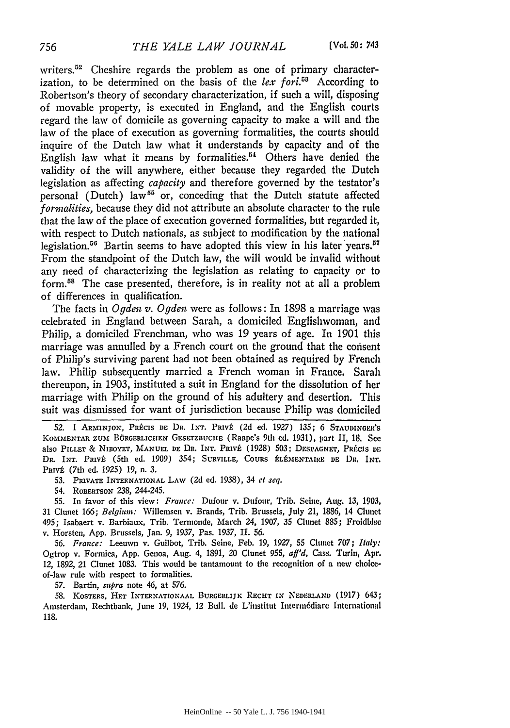writers.<sup>52</sup> Cheshire regards the problem as one of primary characterization, to be determined on the basis of the lex fori.<sup>53</sup> According to Robertson's theory of secondary characterization, if such a will, disposing of movable property, is executed in England, and the English courts regard the law of domicile as governing capacity to make a will and the law of the place of execution as governing formalities, the courts should inquire of the Dutch law what it understands by capacity and of the English law what it means by formalities.<sup> $54$ </sup> Others have denied the validity of the will anywhere, either because they regarded the Dutch legislation as affecting *capacity* and therefore governed by the testator's personal (Dutch) law<sup>55</sup> or, conceding that the Dutch statute affected *formalities,* because they did not attribute an absolute character to the rule that the law of the place of execution governed formalities, but regarded it, with respect to Dutch nationals, as subject to modification by the national legislation.<sup>56</sup> Bartin seems to have adopted this view in his later years.<sup>57</sup> From the standpoint of the Dutch law, the will would be invalid without any need of characterizing the legislation as relating to capacity or to form. 58 The case presented, therefore, is in reality not at all a problem of differences in qualification.

The facts in Ogden v. Ogden were as follows: In 1898 a marriage was celebrated in England between Sarah, a domiciled Englishwoman, and Philip, a domiciled Frenchman, who was 19 years of age. In 1901 this marriage was annulled by a French court on the ground that the consent of Philip's surviving parent had not been obtained as required by French law. Philip subsequently married a French woman in France. Sarah thereupon, in 1903, instituted a suit in England for the dissolution of her marriage with Philip on the ground of his adultery and desertion. This suit was dismissed for want of jurisdiction because Philip was domiciled

52. 1 ARMINJON, PRÉCIS DE DR. INT. PRIVÉ (2d ed. 1927) 135; 6 STAUDINGER'S KOMMENTAR ZUM BÜRGERLICHEN GESETZBUCHE (Raape's 9th ed. 1931), part II, 18. Sec also PILLET & NIBOYET, MANUEL DE DR. INT. PRIVÉ (1928) 503; DESPAGNET, PRÉCIS DE DR. INT. PRIVÉ (5th ed. 1909) 354; SURVILLE, COURS ÉLÉMENTAIRE DE DR. INT. PRivE (7th ed. 1925) 19, n. 3.

53. PRIVATE INTERNATIONAL LAW (2d ed. 1938), 34 cl seq.

54. RoBERTSON 238, 244-245.

55. In favor of this view: *Fraucc:* Dufour v. Dufour, Trib. Seine, Aug. 13, 1903, 31 Clunet 166; *Belgium:* Willemsen v. Brands, Trib. Brussels, July 21, 1886, 14 Clunct 495; Isabaert v. Barbiaux, Trib. Termonde, March 24, 1907, 35 Clunet 885; Froidbisc v. Horsten, App. Brussels, Jan. 9, 1937, Pas. 1937, II. 56.

56. *Fra11ce:* Leeuwn v. Guilbot, Trib. Seine, Feb. 19, 1927, 55 Clunet *707; Italy:*  Ogtrop v. Formica, App. Genoa, Aug. 4, 1891, 20 Clunet 955, *afj'd,* Cass. Turin, Apr. 12, 1892, 21 Clunet 1083. This would be tantamount to the recognition of a new choice· of-law rule with respect to formalities.

*57.* Bartin, *supra* note 46, at *576.* 

58. KOSTERS, HET INTERNATIONAAL BURGERLIJK RECHT IN NEDERLAND (1917) 643; Amsterdam, Rcchtbank, June 19, 1924, 12 Bull. de L'institut Intermediarc International 118.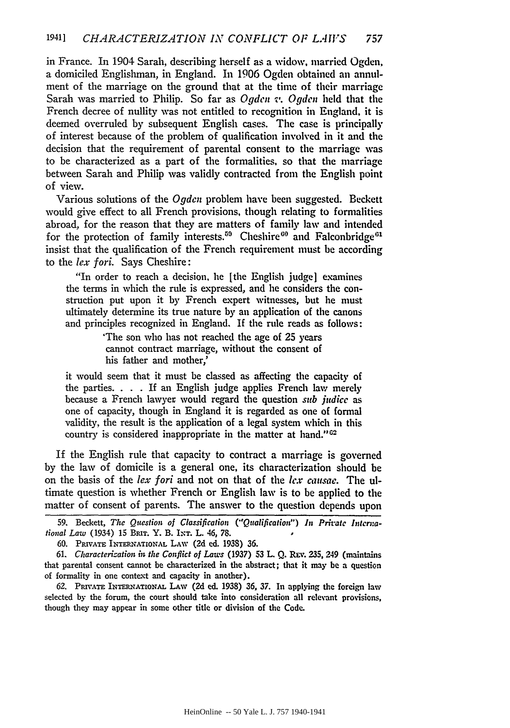in France. In 1904 Sarah, describing herself as a widow, married Ogden, a domiciled Englishman, in England. In 1906 Ogden obtained an annulment of the marriage on the ground that at the time of their marriage Sarah was married to Philip. So far as *Ogden v*. *Ogden* held that the French decree of nullity was not entitled to recognition in England, it is deemed overruled by subsequent English cases. The case is principally of interest because of the problem of qualification involved in it and the decision that the requirement of parental consent to the marriage was to be characterized as a part of the formalities, so that the marriage between Sarah and Philip was validly contracted from the English point of view.

Various solutions of the *Ogden* problem have been suggested. Beckett would give effect to all French provisions, though relating to formalities abroad, for the reason that they are matters of family law and intended for the protection of family interests.<sup>59</sup> Cheshire<sup>60</sup> and Falconbridge<sup>61</sup> insist that the qualification of the French requirement must be according to the *lex fori.* Says Cheshire:

"In order to reach a decision. he [the English judge] examines the terms in which the rule is expressed, and he considers the construction put upon it by French expert witnesses, but he must ultimately determine its true nature by an application of the canons and principles recognized in England. If the rule reads as follows:

> 'The son who has not reached the age of 25 years cannot contract marriage, without the consent of his father and mother,'

it would seem that it must be classed as affecting the capacity of the parties.  $\ldots$  if an English judge applies French law merely because a French lawyet would regard the question *sub judice* as one of capacity, though in England it is regarded as one of formal validity, the result is the application of a legal system which in this country is considered inappropriate in the matter at hand."<sup>62</sup>

If the English rule that capacity to contract a marriage is governed by the law of domicile is a general one, its characterization should be on the basis of the *lex fori* and not on that of the *lc:r causae.* The ultimate question is whether French or English law is to be applied to the matter of consent of parents. The answer to the question depends upon

59. Beckett, The Question of Classification ("Qualification") In Private Interna*tioual* Law (1934) 15 BRIT. Y. B. lxT. L. 46, 78.

60. PRIVATE INTERNATIONAL LAW (2d ed. 1938) 36.

61. *Characterization in the Conflict of Laws* (1937) 53 L. Q. Rev. 235, 249 (maintains that parental consent cannot be characterized in the abstract; that it may be a question of formality in one context and capacity in another).

62. PRIVATE INTERNATIONAL LAw (2d ed. 1938) 36, 37. In applying the foreign law  $s$ elected by the forum, the court should take into consideration all relevant provisions, though they may appear in some other title or division of the Code.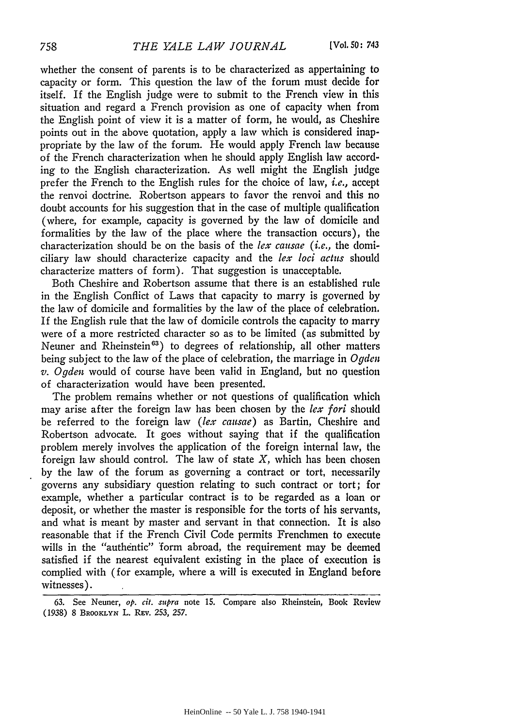whether the consent of parents is to be characterized as appertaining to capacity or form. This question the law of the forum must decide for itself. If the English judge were to submit to the French view in this situation and regard a French provision as one of capacity when from the English point of view it is a matter of form, he would, as Cheshire points out in the above quotation, apply a law which is considered inappropriate by the law of the forum. He would apply French law because of the French characterization when he should apply English law according to the English characterization. As well might the English judge prefer the French to the English rules for the choice of law, *i.e.,* accept the renvoi doctrine. Robertson appears to favor the renvoi and this no doubt accounts for his suggestion that in the case of multiple qualification (where, for example, capacity is governed by the law of domicile and formalities by the law of the place where the transaction occurs), the characterization should be on the basis of the *lex causae (i.e.,* the domiciliary law should characterize capacity and the *lex loci actus* should characterize matters of form). That suggestion is unacceptable.

Both Cheshire and Robertson assume that there is an established rule in the English Conflict of Laws that capacity to marry is governed by the law of domicile and formalities by the law of the place of celebration. If the English rule that the law of domicile controls the capacity to marry were of a more restricted character so as to be limited (as submitted by Neuner and Rheinstein<sup>63</sup>) to degrees of relationship, all other matters being subject to the law of the place of celebration, the marriage in *Ogden v. Ogden* would of course have been valid in England, but no question of characterization would have been presented.

The problem remains whether or not questions of qualification which may arise after the foreign law has been chosen by the *lex fori* should be referred to the foreign law (lex causae) as Bartin, Cheshire and Robertson advocate. It goes without saying that if the qualification problem merely involves the application of the foreign internal law, the foreign law should control. The law of state  $X$ , which has been chosen by the law of the forum as governing a contract or tort, necessarily governs any subsidiary question relating to such contract or tort; for example, whether a particular contract is to be regarded as a loan or deposit, or whether the master is responsible for the torts of his servants, and what is meant by master and servant in that connection. It is also reasonable that if the French Civil Code permits Frenchmen to execute wills in the "authentic" form abroad, the requirement may be deemed satisfied if the nearest equivalent existing in the place of execution is complied with (for example, where a will is executed in England before witnesses) .

63. See Neuner, *op. cit. supra* note 15. Compare also Rheinstein, Book Review (1938) 8 BROOKLYN L. REv. 253, 257.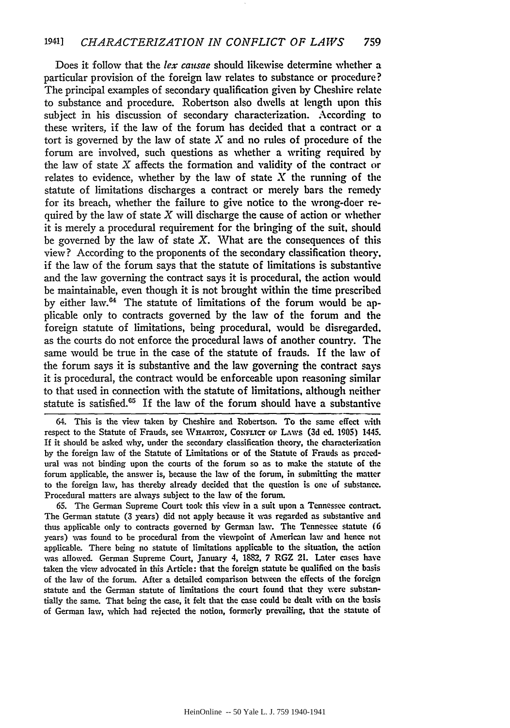Does it follow that the *lex causae* should likewise determine whether a particular provision of the foreign law relates to substance or procedure? The principal examples of secondary qualification given by Cheshire relate to substance and procedure. Robertson also dwells at length upon this subject in his discussion of secondary characterization. According to these writers, if the law of the forum has decided that a contract or a tort is governed by the law of state  $X$  and no rules of procedure of the forum are involved, such questions as whether a writing required by the law of state  $X$  affects the formation and validity of the contract or relates to evidence, whether by the law of state *X* the running of the statute of limitations discharges a contract or merely bars the remedy for its breach, whether the failure to give notice to the wrong-doer required by the law of state *X* will discharge the cause of action or whether it is merely a procedural requirement for the bringing of the suit, should be governed by the law of state  $X$ . What are the consequences of this view? According to the proponents of the secondary classification theory, if the law of the forum says that the statute of limitations is substantive and the law governing the contract says it is procedural, the action would be maintainable, even though it is not brought within the time prescribed by either law.<sup>64</sup> The statute of limitations of the forum would be applicable only to contracts governed by the law of the forum and the foreign statute of limitations, being procedural, would be disregarded. as the courts do not enforce the procedural laws of another country. The same would be true in the case of the statute of frauds. If the law of the forum says it is substantive and the law governing the contract says it is procedural, the contract would be enforceable upon reasoning similar to that used in connection with the statute of limitations, although neither statute is satisfied.<sup>65</sup> If the law of the forum should have a substantive

64. This is the view taken by Cheshire and Robertson. To the same effect with respect to the Statute of Frauds, see WHARTON, CONFLICT OF LAWS (3d ed. 1905) 1445. If it should be asked why, under the secondary classification theory, the characterization by the foreign law of the Statute of Limitations or of the Statute of Frauds as procedural was not binding upon the courts of the forum so as to make the statute of the forum applicable, the answer is, because the law of the forum, in submitting the matter to the foreign law, has thereby already decided that the question is one of substance. Procedural matters are always subject to the law of the forum.

65. The German Supreme Court took this view in a suit upon a Tennessee contract. The German statute (3 years) did not apply because it was regarded as substantive and thus applicable only to contracts governed by German law. The Tennessee statute (6 years) was found to be procedural from the viewpoint of American law and hence not applicable. There being no statute of limitations applicable to the situation, the action was allowed. German Supreme Court, January 4, 1882, 7 RGZ 21. Later cases have taken the view advocated in this Article: that the foreign statute be qualified on the basis of the law of the forum. After a detailed comparison between the effects of the foreign statute and the German statute of limitations the court found that they were substantially the same. That being the case, it felt that the case could be dealt with on the basis of German law, which had rejected the notion, formerly prevailing, that the statute of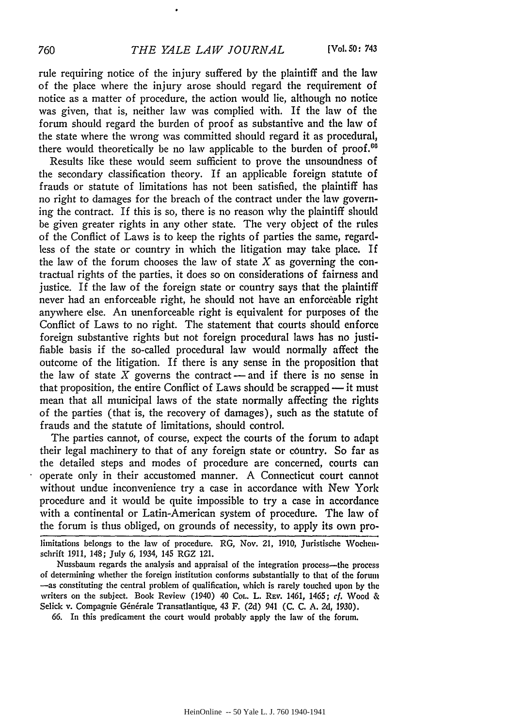rule requiring notice of the injury suffered by the plaintiff and the law of the place where the injury arose should regard the requirement of notice as a matter of procedure, the action would lie, although no notice was given, that is, neither law was complied with. If the law of the forum should regard the burden of proof as substantive and the law of the state where the wrong was committed should regard it as procedural, there would theoretically be no law applicable to the burden of proof.<sup>60</sup>

Results like these would seem sufficient to prove the unsoundness of the secondary classification theory. If an applicable foreign statute of frauds or statute of limitations has not been satisfied, the plaintiff has no right to damages for the breach of the contract under the law governing the contract. If this is so, there is no reason why the plaintiff should be given greater rights in any other state. The very object of the rules of the Conflict of Laws is to keep the rights of parties the same, regardless of the state or country in which the litigation may take place. If the law of the forum chooses the law of state  $X$  as governing the contractual rights of the parties, it does so on considerations of fairness and justice. If the law of the foreign state or country says that the plaintiff never had an enforceable right, he should not have an enforceable right anywhere else. An unenforceable right is equivalent for purposes of the Conflict of Laws to no right. The statement that courts should enforce foreign substantive rights but not foreign procedural laws has no justifiable basis if the so-called procedural law would normally affect the outcome of the litigation. If there is any sense in the proposition that the law of state  $X$  governs the contract - and if there is no sense in that proposition, the entire Conflict of Laws should be scrapped — it must mean that all municipal laws of the state normally affecting the rights of the parties (that is, the recovery of damages), such as the statute of frauds and the statute of limitations, should control.

The parties cannot, of course, expect the courts of the forum to adapt their legal machinery to that of any foreign state or country. So far as the detailed steps and modes of procedure are concerned, courts can operate only in their accustomed manner. A Connecticut court cannot without undue inconvenience try a case in accordance with New York procedure and it would be quite impossible to try a case in accordance with a continental or Latin-American system of procedure. The law of the forum is thus obliged, on grounds of necessity, to apply its own pro-

limitations belongs to the law of procedure. RG, Nov. 21, 1910, Juristische Wochcnschrift 1911, 148; July 6, 1934, 145 RGZ 121.

Nussbaum regards the analysis and appraisal of the integration process-the process of determining whether the foreign institution conforms substantially to that of the forum -as constituting the central problem of qualification, which is rarely touched upon by the writers on the subject. Book Review (1940) 40 CoL. L. REv. 1461, 1465; cj. Wood & Selick v. Compagnie Générale Transatlantique, 43 F. (2d) 941 (C. C. A. 2d, 1930).

66. In this predicament the court would probably apply the law of the forum.